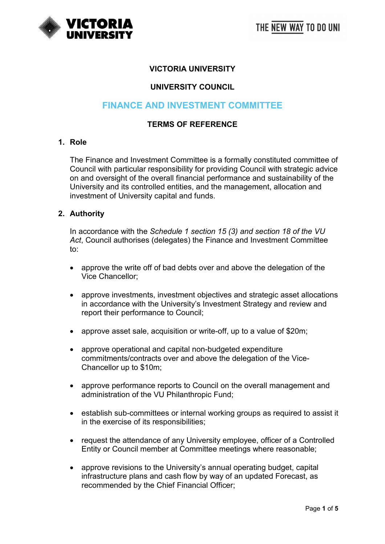

# **VICTORIA UNIVERSITY**

### **UNIVERSITY COUNCIL**

# **FINANCE AND INVESTMENT COMMITTEE**

#### **TERMS OF REFERENCE**

#### **1. Role**

The Finance and Investment Committee is a formally constituted committee of Council with particular responsibility for providing Council with strategic advice on and oversight of the overall financial performance and sustainability of the University and its controlled entities, and the management, allocation and investment of University capital and funds.

#### **2. Authority**

In accordance with the *Schedule 1 section 15 (3) and section 18 of the VU Act*, Council authorises (delegates) the Finance and Investment Committee to:

- approve the write off of bad debts over and above the delegation of the Vice Chancellor;
- approve investments, investment objectives and strategic asset allocations in accordance with the University's Investment Strategy and review and report their performance to Council;
- approve asset sale, acquisition or write-off, up to a value of \$20m;
- approve operational and capital non-budgeted expenditure commitments/contracts over and above the delegation of the Vice-Chancellor up to \$10m;
- approve performance reports to Council on the overall management and administration of the VU Philanthropic Fund;
- establish sub-committees or internal working groups as required to assist it in the exercise of its responsibilities;
- request the attendance of any University employee, officer of a Controlled Entity or Council member at Committee meetings where reasonable;
- approve revisions to the University's annual operating budget, capital infrastructure plans and cash flow by way of an updated Forecast, as recommended by the Chief Financial Officer;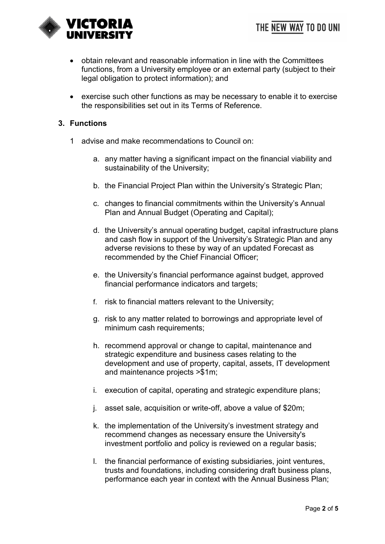

- obtain relevant and reasonable information in line with the Committees functions, from a University employee or an external party (subject to their legal obligation to protect information); and
- exercise such other functions as may be necessary to enable it to exercise the responsibilities set out in its Terms of Reference.

### **3. Functions**

- 1 advise and make recommendations to Council on:
	- a. any matter having a significant impact on the financial viability and sustainability of the University;
	- b. the Financial Project Plan within the University's Strategic Plan;
	- c. changes to financial commitments within the University's Annual Plan and Annual Budget (Operating and Capital);
	- d. the University's annual operating budget, capital infrastructure plans and cash flow in support of the University's Strategic Plan and any adverse revisions to these by way of an updated Forecast as recommended by the Chief Financial Officer;
	- e. the University's financial performance against budget, approved financial performance indicators and targets;
	- f. risk to financial matters relevant to the University;
	- g. risk to any matter related to borrowings and appropriate level of minimum cash requirements;
	- h. recommend approval or change to capital, maintenance and strategic expenditure and business cases relating to the development and use of property, capital, assets, IT development and maintenance projects >\$1m;
	- i. execution of capital, operating and strategic expenditure plans;
	- j. asset sale, acquisition or write-off, above a value of \$20m;
	- k. the implementation of the University's investment strategy and recommend changes as necessary ensure the University's investment portfolio and policy is reviewed on a regular basis;
	- l. the financial performance of existing subsidiaries, joint ventures, trusts and foundations, including considering draft business plans, performance each year in context with the Annual Business Plan;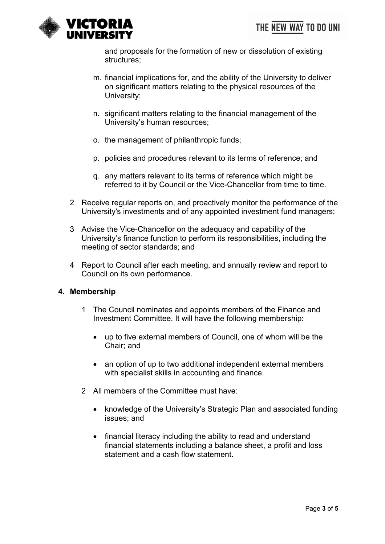

and proposals for the formation of new or dissolution of existing structures;

- m. financial implications for, and the ability of the University to deliver on significant matters relating to the physical resources of the University;
- n. significant matters relating to the financial management of the University's human resources;
- o. the management of philanthropic funds;
- p. policies and procedures relevant to its terms of reference; and
- q. any matters relevant to its terms of reference which might be referred to it by Council or the Vice-Chancellor from time to time.
- 2 Receive regular reports on, and proactively monitor the performance of the University's investments and of any appointed investment fund managers;
- 3 Advise the Vice-Chancellor on the adequacy and capability of the University's finance function to perform its responsibilities, including the meeting of sector standards; and
- 4 Report to Council after each meeting, and annually review and report to Council on its own performance.

## **4. Membership**

- 1 The Council nominates and appoints members of the Finance and Investment Committee. It will have the following membership:
	- up to five external members of Council, one of whom will be the Chair; and
	- an option of up to two additional independent external members with specialist skills in accounting and finance.
- 2 All members of the Committee must have:
	- knowledge of the University's Strategic Plan and associated funding issues; and
	- financial literacy including the ability to read and understand financial statements including a balance sheet, a profit and loss statement and a cash flow statement.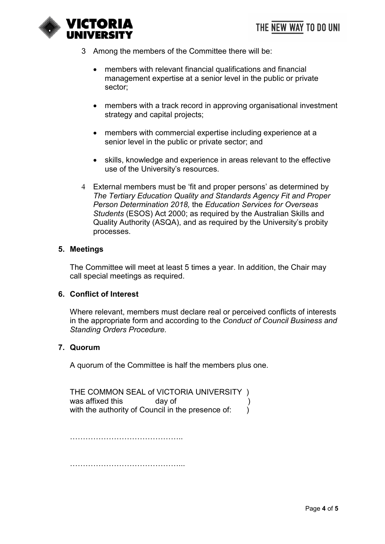

- 3 Among the members of the Committee there will be:
	- members with relevant financial qualifications and financial management expertise at a senior level in the public or private sector;
	- members with a track record in approving organisational investment strategy and capital projects;
	- members with commercial expertise including experience at a senior level in the public or private sector; and
	- skills, knowledge and experience in areas relevant to the effective use of the University's resources.
- 4 External members must be 'fit and proper persons' as determined by *The Tertiary Education Quality and Standards Agency Fit and Proper Person Determination 2018,* the *Education Services for Overseas Students* (ESOS) Act 2000; as required by the Australian Skills and Quality Authority (ASQA), and as required by the University's probity processes.

#### **5. Meetings**

The Committee will meet at least 5 times a year. In addition, the Chair may call special meetings as required.

#### **6. Conflict of Interest**

Where relevant, members must declare real or perceived conflicts of interests in the appropriate form and according to the *Conduct of Council Business and Standing Orders Procedure.*

#### **7. Quorum**

A quorum of the Committee is half the members plus one.

THE COMMON SEAL of VICTORIA UNIVERSITY )<br>was affixed this day of (a) was affixed this with the authority of Council in the presence of: )

……………………………………..

……………………………………...